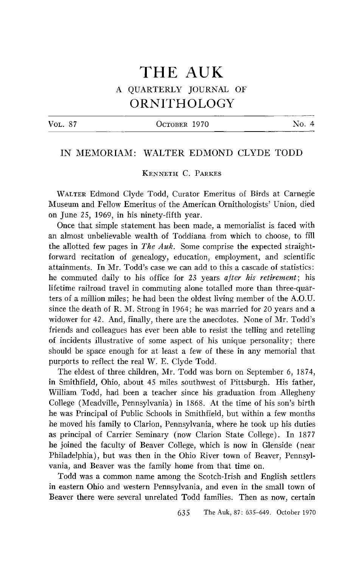## **A QUARTERLY JOURNAL OF THE AUK ORNITHOLOGY**

Vol. 87 **OCTOBER 1970** No. 4

## **IN MEMORIAM: WALTER EDMOND CLYDE TODD**

## **KENNETH C. PARKES**

**WALTER Edmond Clyde Todd, Curator Emeritus of Birds at Carnegie Museum and Fellow Emeritus of the American Ornithologists' Union, died on June 25, 1969, in his ninety-fifth year.** 

**Once that simple statement has been made, a memorialist is faced with an almost unbelievable wealth of Toddiana from which to choose, to fill the allotted few pages in The Auk. Some comprise the expected straightforward recitation of genealogy, education, employment, and scientific attainments. In Mr. Todd's case we can add to this a cascade of statistics: he commuted daily to his office for 23 years after his retirement; his lifetime railroad travel in commuting alone totalled more than three-quarters of a million miles; he had been the oldest living member of the A.O.U. since the death of R. M. Strong in 1964; he was married for 20 years and a widower for 42. And, finally, there are the anecdotes. None of Mr. Todd's friends and colleagues has ever been able to resist the telling and retelling of incidents illustrative of some aspect of his unique personality; there should be space enough for at least a few of these in any memorial that purports to reflect the real W. E. Clyde Todd.** 

**The eldest of three children, Mr. Todd was born on September 6, 1874, in Smithfield, Ohio, about 45 miles southwest of Pittsburgh. His father, William Todd, had been a teacher since his graduation from Allegheny College (Meadville, Pennsylvania) in 1868. At the time of his son's birth he was Principal of Public Schools in Smithfield, but within a few months he moved his family to Clarion, Pennsylvania, where he took up his duties as principal of Carrier Seminary (now Clarion State College). In 1877 he joined the faculty of Beaver College, which is now in Glenside (near Philadelphia), but was then in the Ohio River town of Beaver, Pennsylvania, and Beaver was the family home from that time on.** 

**Todd was a common name among the Scotch-Irish and English settlers in eastern Ohio and western Pennsylvania, and even in the small town of**  Beaver there were several unrelated Todd families. Then as now, certain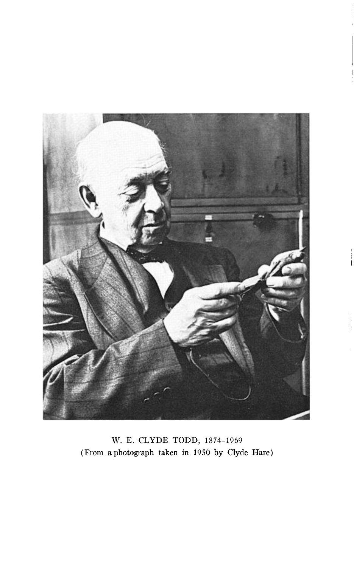

**W. E. CLYDE TODD, 1874-1969 (From a photograph taken in 1950 by Clyde Hare)**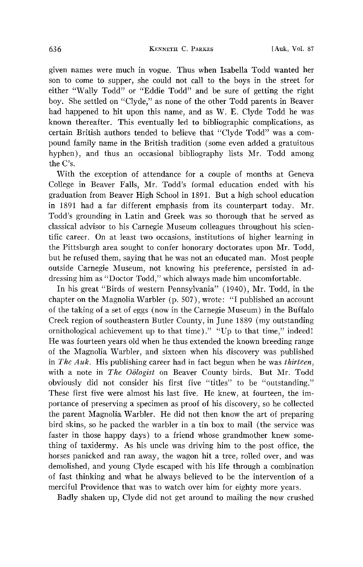**given names were much in vogue. Thus when Isabella Todd wanted her son to come to supper, she could not call to the boys in the street for either "Wally Todd" or "Eddie Todd" and be sure of getting the right boy. She settled on "Clyde," as none of the other Todd parents in Beaver had happened to hit upon this name, and as W. E. Clyde Todd he was known thereafter. This eventually led to bibliographic complications, as certain British authors tended to believe that "Clyde Todd" was a compound family name in the British tradition (some even added a gratuitous hyphen), and thus an occasional bibliography lists Mr. Todd among the C's.** 

**With the exception of attendance for a couple of months at Geneva College in Beaver Falls, Mr. Todd's formal education ended with his graduation from Beaver High School in 1891. But a high school education in 1891 had a far different emphasis from its counterpart today. Mr. Todd's grounding in Latin and Greek was so thorough that he served as classical advisor to his Carnegie Museum colleagues throughout his scientific career. On at least two occasions, institutions of higher learning in the Pittsburgh area sought to confer honorary doctorates upon Mr. Todd, but he refused them, saying that he was not an educated man. Most people outside Carnegie Museum, not knowing his preference, persisted in addressing him as "Doctor Todd," which always made him uncomfortable.** 

**In his great "Birds of western Pennsylvania" (1940), Mr. Todd, in the chapter on the Magnolia Warbler (p. 507), wrote: "I published an account of the taking of a set of eggs (now in the Carnegie Museum) in the Buffalo Creek region of southeastern Butler County, in June 1889 (my outstanding ornithological achievement up to that time)." "Up to that time," indeed! He was fourteen years old when he thus extended the known breeding range of the Magnolia Warbler, and sixteen when his discovery was published in The Auk. His publishing career had in fact begun when he was thirteen,**  with a note in *The Oölogist* on Beaver County birds. But Mr. Todd **obviously did not consider his first five "titles" to be "outstanding." These first five were almost his last five. He knew, at fourteen, the importance of preserving a specimen as proof of his discovery, so he collected the parent Magnolia Warbler. He did not then know the art of preparing bird skins, so he packed the warbler in a tin box to mail (the service was faster in those happy days) to a friend whose grandmother knew something of taxidermy. As his uncle was driving him to the post office, the horses panicked and ran away, the wagon hit a tree, rolled over, and was demolished, and young Clyde escaped with his life through a combination of fast thinking and what he always believed to be the intervention of a merciful Providence that was to watch over him for eighty more years.** 

**Badly shaken up, Clyde did not get around to mailing the now crushed**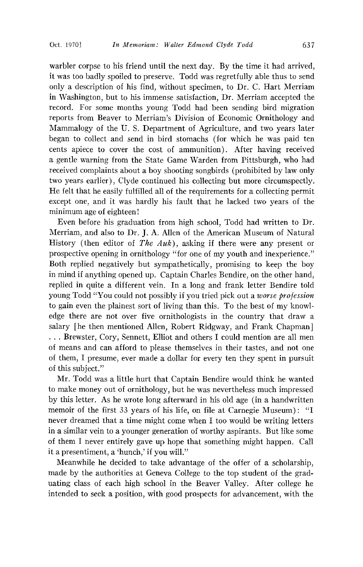**warbler corpse to his friend until the next day. By the time it had arrived, it was too badly spoiled to preserve. Todd was regretfully able thus to send only a description of his find, without specimen, to Dr. C. Hart Merriam in Washington, but to his immense satisfaction, Dr. Merriam accepted the record. For some months young Todd had been sending bird migration reports from Beaver to Merriam's Division of Economic Ornithology and Mammalogy of the U.S. Department of Agriculture, and two years later began to collect and send in bird stomachs (for which he was paid ten cents apiece to cover the cost of ammunition). After having received a gentle warning from the State Game Warden from Pittsburgh, who had received complaints about a boy shooting songbirds (prohibited by law only**  two years earlier), Clyde continued his collecting but more circumspectly. **He felt that he easily fulfilled all of the requirements for a collecting permit except one, and it was hardly his fault that he lacked two, years of the minimum age of eighteen !** 

**Even before his graduation from high school, Todd had written to Dr. Merriam, and also to Dr. J. A. Allen of the American Museum of Natural History (then editor of The Auk), asking if there were any present or prospective opening in ornithology "for one of my youth and inexperience." Both replied negatively but sympathetically, promising to keep the boy in mind if anything opened up. Captain Charles Bendire, on the other hand, replied in quite a different vein. In a long and frank letter Bendire told young Todd "You could not possibly if you tried pick out a worse profession to gain even the plainest sort of living than this. To the best of my knowledge there are not over five ornithologists in the country that draw a salary [he then mentioned Allen, Robert Ridgway, and Frank Chapman] ß . . Brewster, Cory, Sennett, Elliot and others I could mention are all men of means and can afford to please themselves in their tastes, and not one of them, I presume, ever made a dollar for every ten they spent in pursuit of this subject."** 

**Mr. Todd was a little hurt that Captain Bendire would think he wanted to make money out of ornithology, but he was nevertheless much impressed by this letter. As he wrote long afterward in his old age (in a handwritten memoir of the first 33 years of his life, on file at Carnegie Museum): "I never dreamed that a time might come when I too would be writing letters in a similar vein to a younger generation of worthy aspirants. But like some of them I never entirely gave up hope that something might happen. Call it a presentiment, a 'hunch,' if you will."** 

**Meanwhile he decided to take advantage of the offer of a scholarship, made by the authorities at Geneva College to the top student of the graduating class of each high school in the Beaver Valley. After college he intended to seek a position, with good prospects for advancement, with the**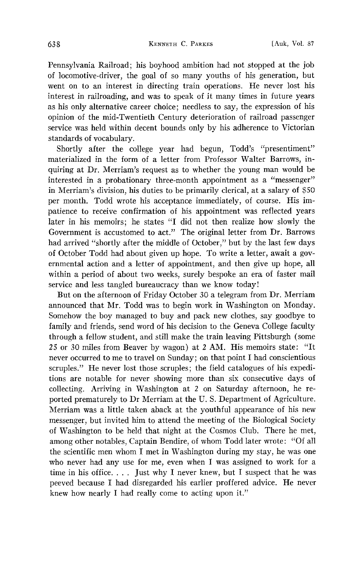**Pennsylvania Railroad; his boyhood ambition had not stopped at the job of locomotive-driver, the goal of so many youths of his generation, but went on to an interest in directing train operations. He never lost his interest in railroading, and was to speak of it many times in future years as his only alternative career choice; needless to say, the expression of his opinion of the mid-Twentieth Century deterioration of railroad passenger service was held within decent bounds only by his adherence to Victorian standards of vocabulary.** 

**Shortly after the college year had begun, Todd's "presentiment" materialized in the form of a letter from Professor Walter Barrows, inquiring at Dr. Merriam's request as to whether the young man would be interested in a probationary three-month appointment as a "messenger" in Merriam's division, his duties to be primarily clerical, at a salary of \$50 per month. Todd wrote his acceptance immediately, of course. His impatience to receive confirmation of his appointment was reflected years later in his memoirs; he states "I did not then realize how slowly the Government is accustomed to. act." The original letter from Dr. Barrows had arrived "shortly after the middle of October," but by the last few days of October Todd had about given up hope. To write a letter, await a governmental action and a letter of appointment, and then give up hope, all within a period of about two weeks, surely bespoke an era of faster mail service and less tangled bureaucracy than we know today!** 

**But on the afternoon of Friday October 30 a telegram from Dr. Merriam announced that Mr. Todd was to begin work in Washington on Monday. Somehow the boy managed to buy and pack new clothes, say goodbye to family and friends, send word of his decision to the Geneva College faculty through a fellow student, and still make the train leaving Pittsburgh (some 25 or 30 miles from Beaver by wagon) at 2 AM. His memoirs state: "It never occurred to me to travel on Sunday; on that point I had conscientious scruples." He never lost those scruples; the field catalogues of his expeditions are notable for never showing more than six consecutive days of collecting. Arriving in Washington at 2 on Saturday afternoon, he reported prematurely to Dr Merriam at the U.S. Department of Agriculture. Merriam was a little taken aback at the youthful appearance of his new messenger, but invited him to attend the meeting of the Biological Society of Washington to be held that night at the Cosmos Club. There he met, among other notables, Captain Bendire, of whom Todd later wrote: "Of all the scientific men whom I met in Washington during my stay, he was one who never had any use for me, even when I was assigned to work for a time in his office .... Just why I never knew, but I suspect that he was peeved because Ihad disregarded his earlier proffered advice. He never knew how nearly I had really come to acting upon it."**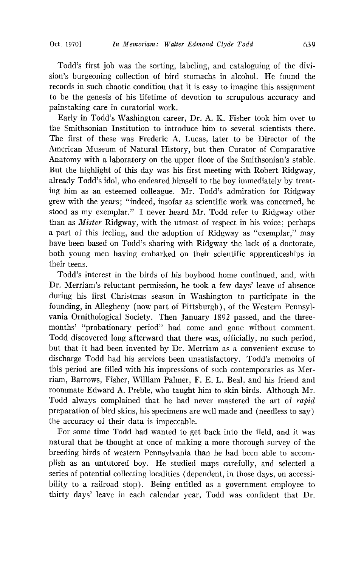**Todd's first job was the sorting, labeling, and cataloguing of the division's burgeoning collection of bird stomachs in alcohol. He found the records in such chaotic condition that it is easy to imagine this assignment to be the genesis of his lifetime of devotion to scrupulous accuracy and painstaking care in curatorial work.** 

**Early in Todd's Washington career, Dr. A. K. Fisher took him over to the Smithsonian Institution to introduce him to several scientists there. The first of these was Frederic A. Lucas, later to be Director of the American Museum of Natural History, but then Curator of Comparative**  Anatomy with a laboratory on the upper floor of the Smithsonian's stable. **But the highlight of this day was his first meeting with Robert Ridgway, already Todd's idol, who endeared himself to the boy immediately by treating him as an esteemed colleague. Mr. Todd's admiration for Ridgway grew with the years; "indeed, insofar as scientific work was concerned, he stood as my exemplar." I never heard Mr. Todd refer to Ridgway other than as Mister Ridgway, with the utmost of respect in his voice; perhaps a part of this feeling, and the adoption of Ridgway as "exemplar," may have been based on Todd's sharing with Ridgway the lack of a doctorate, both young men having embarked on their scientific apprenticeships in their teens.** 

**Todd's interest in the birds of his boyhood home continued, and, with Dr. Merriam's reluctant permission, he took a few days' leave of absence during his first Christmas season in Washington to participate in the founding, in Allegheny (now part of Pittsburgh), of the Western Pennsylvania Ornithological Society. Then January 1892 passed, and the threemonths' "probationary period" had come and gone without comment. Todd discovered long afterward that there was, officially, no such period, but that it had been invented by Dr. Merriam as a convenient excuse to discharge Todd had his services been unsatisfactory. Todd's memoirs of this period are filled with his impressions of such contemporaries as Merriam, Barrows, Fisher, William Palmer, F. E. L. Beal, and his friend and roommate Edward A. Preble, who taught him to skin birds. Although Mr. Todd always complained that he had never mastered the art of rapid preparation of bird skins, his specimens are well made and (needless to say) the accuracy of their data is impeccable.** 

**For some time Todd had wanted to get back into the field, and it was natural that he thought at once of making a more thorough survey of the breeding birds of western Pennsylvania than he had been able to accomplish as an untutored boy. He studied maps carefully, and selected a series of potential collecting localities (dependent, in those days, on accessibility to a railroad stop). Being entitled as a government employee to thirty days' leave in each calendar year, Todd was confident that Dr.**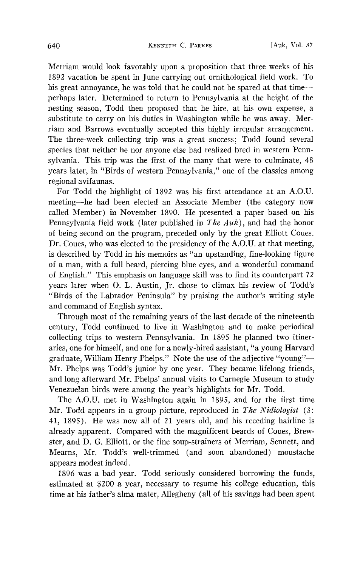**Merriam would look favorably upon a proposition that three weeks of his 1892 vacation be spent in June carrying out ornithological field work. To his great annoyance, he was told that he could not be spared at that time- perhaps later. Determined to return to Pennsylvania at the height of the nesting season, Todd then proposed that he hire, at his own expense, a substitute to carry on his duties in Washington while he was away. Merriam and Barrows eventually accepted this highly irregular arrangement. The three-week collecting trip was a great success; Todd found several species that neither he nor anyone else had realized bred in western Pennsylvania. This trip was the first of the many that were to. culminate, 48 years later, in "Birds of western Pennsylvania," one of the classics among regional avifaunas.** 

**For Todd the highlight of 1892 was his first attendance at an A.O.U. meeting--he had been elected an Associate Member (the category now called Member) in November 1890. He presented a paper based on his Pennsylvania field work (later published in The Auk), and had the honor of being second on the program, preceded only by the great Elliott Coues. Dr. Coues, who was elected to the presidency of the A.O.U. at that meeting, is described by Todd in his memoirs as "an upstanding, fine-looking figure of a man, with a full beard, piercing blue eyes, and a wonderful command of English." This emphasis on language skill was to find its counterpart 72 years later when O. L. Austin, Jr. chose to climax his review of Todd's "Birds of the Labrador Peninsula" by praising the author's writing style and command of English syntax.** 

**Through most of the remaining years of the last decade of the nineteenth century, Todd continued to live in Washington and to make periodical collecting trips to western Pennsylvania. In 1895 he planned two itineraries, one for himself, and one for a newly-hired assistant, "a young Harvard**  graduate, William Henry Phelps." Note the use of the adjective "young"-**Mr. Phelps was Todd's junior by one year. They became lifelong friends, and long afterward Mr. Phelps' annual visits to Carnegie Museum to study Venezuelan birds were among the year's highlights for Mr. Todd.** 

**The A.O.U. met in Washington again in 1895, and for the first time**  Mr. Todd appears in a group picture, reproduced in *The Nidiologist* (3: **41, 1895). He was now all of 21 years old, and his receding hairline is already apparent. Compared with the magnificent beards of Coues, Brewster, and D. G. Elliott, or the fine soup-strainers of Merriam, Sennett, and Mearns, Mr. Todd's well-trimmed (and soon abandoned) moustache appears modest indeed.** 

**1896 was a bad year. Todd seriously considered borrowing the funds, estimated at \$200 a year, necessary to resume his college education, this time at his father's alma mater, Allegheny (all of his savings had been spent**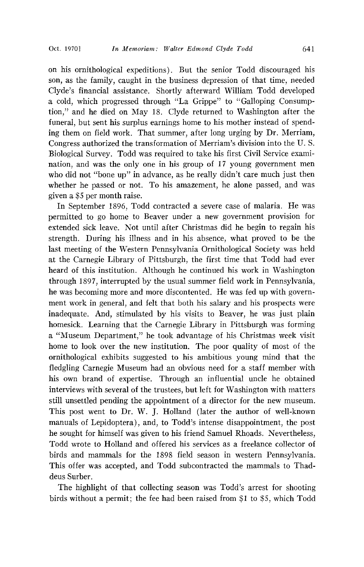**on his ornithological expeditions). But the senior Todd discouraged his son, as the family, caught in the business depression of that time, needed Clyde's financial assistance. Shortly afterward William Todd developed a cold, which progressed through "La Grippe" to "Galloping Consump**tion," and he died on May 18. Clyde returned to Washington after the **funeral, but sent his surplus earnings home to his mother instead of spending them on field work. That summer, after long urging by Dr. Merriam, Congress authorized the transformation of Merriam's division into the U.S. Biological Survey. Todd was required to take his first Civil Service examination, and was the only one in his group of 17 young government men who did not "bone up" in advance, as he really didn't care much just then whether he passed or not. To his amazement, he alone passed, and was given a \$5 per month raise.** 

**In September 1896, Todd contracted a severe case of malaria. He was permitted to go home to Beaver under a new government provision for extended sick leave. Not until after Christmas did he begin to regain his strength. During his illness and in his absence, what proved to be the last meeting of the Western Pennsylvania Ornithological Society was held at the Carnegie Library of Pittsburgh, the first time that Todd had ever heard of this institution. Although he continued his work in Washington through 1897, interrupted by the usual summer field work in Pennsylvania, he was becoming more and more discontented. He was fed up with government work in general, and felt that both his salary and his prospects were inadequate. And, stimulated by his visits to Beaver, he was just plain homesick. Learning that the Carnegie Library in Pittsburgh was forming a "Museum Department," he took advantage of his Christmas week visit home to look over the new institution. The poor quality of most of the ornithological exhibits suggested to his ambitious young mind that the fledgling Carnegie Museum had an obvious need for a staff member with his own brand of expertise. Through an influential uncle he obtained interviews with several of the trustees, but left for Washington with matters still unsettled pending the appointment of a director for the new museum. This post went to Dr. W. J. Holland (later the author of well-known**  manuals of Lepidoptera), and, to Todd's intense disappointment, the post **he sought for himself was given to his friend Samuel Rhoads. Nevertheless, Todd wrote to Holland and offered his services as a freelance collector of birds and mammals for the 1898 field season in western Pennsylvania. This offer was accepted, and Todd subcontracted the mammals to Thaddeus Surber.** 

**The highlight of that collecting season was Todd's arrest for shooting birds without a permit; the fee had been raised from \$1 to \$5, which Todd**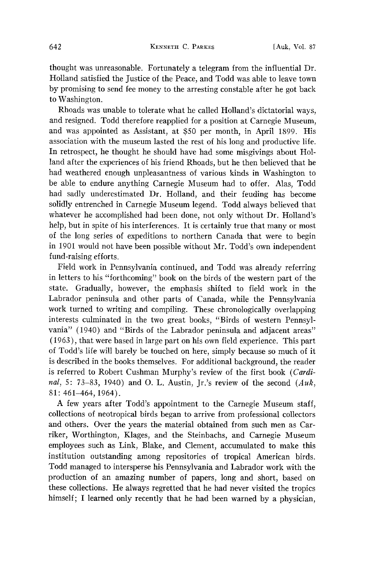**thought was unreasonable. Fortunately a telegram from the influential Dr. Holland satisfied the Justice of the Peace, and Todd was able to leave town by promising to send fee money to the arresting constable after he got back to Washington.** 

**Rhoads was unable to tolerate what he called Holland's dictatorial ways, and resigned. Todd therefore reapplied for a position at Carnegie Museum, and was appointed as Assistant, at \$50 per month, in April 1899. His association with the museum lasted the rest of his long and productive life. In retrospect, he thought he should have had some misgivings about Hol**land after the experiences of his friend Rhoads, but he then believed that he **had weathered enough unpleasantness of various kinds in Washington to be able to endure anything Carnegie Museum had to offer. Alas, Todd had sadly underestimated Dr. Holland, and their feuding has become solidly entrenched in Carnegie Museum legend. Todd always believed that whatever he accomplished had been done, not only without Dr. Holland's help, but in spite of his interferences. It is certainly true that many or most of the long series of expeditions to northern Canada that were to begin in 1901 would not have been possible without Mr. Todd's own independent fund-raising efforts.** 

**Field work in Pennsylvania continued, and Todd was already referring in letters to his "forthcoming" book on the birds of the western part of the state. Gradually, however, the emphasis shifted to field work in the Labrador peninsula and other parts of Canada, while the Pennsylvania work turned to writing and compiling. These chronologically overlapping interests culminated in the two great books, "Birds of western Pennsylvania" (1940) and "Birds of the Labrador peninsula and adjacent areas" (1963), that were based in large part on his own field experience. This part of Todd's life will barely be touched on here, simply because so much of it is described in the books themselves. For additional background, the reader is referred to Robert Cushman Murphy's review of the first book (Cardinal, 5:73 83, 1940) and O. L. Austin, Jr.'s review of the second (Auk, 81: 461-464, 1964).** 

**A few years after Todd's appointment to the Carnegie Museum staff, collections of neotropical birds began to arrive from professional collectors and others. Over the years the material obtained from such men as Carriker, Worthington, Klages, and the Steinbachs, and Carnegie Museum employees such as Link, Blake, and Clement, accumulated to make this institution outstanding among repositories of tropical American birds.**  Todd managed to intersperse his Pennsylvania and Labrador work with the **production of an amazing number of papers, long and short, based on these collections. He always regretted that he had never visited the tropics himself; I learned only recently that he had been warned by a physician,**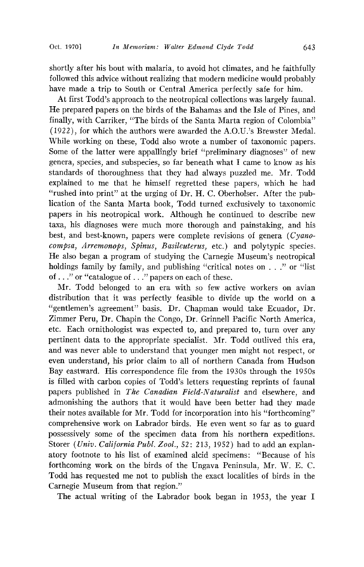**shortly after his bout with malaria, to avoid hot climates, and he faithfully followed this advice without realizing that modern medicine would probably have made a trip to South or Central America perfectly safe for him.** 

**At first Todd's approach to the neotropical collections was largely faunal. He prepared papers on the birds of the Bahamas and the Isle of Pines, and**  finally, with Carriker, "The birds of the Santa Marta region of Colombia" **(1922), for which the authors were awarded the A.O.U.'s Brewster Medal.**  While working on these, Todd also wrote a number of taxonomic papers. **Some of the latter were appallingly brief "preliminary diagnoses" of new genera, species, and subspecies, so far beneath what I came to know as his standards of thoroughness that they had always puzzled me. Mr. Todd explained to me that he himself regretted these papers, which he had "rushed into print" at the urging of Dr. H. C. Oberholser. After the publication of the Santa Marta book, Todd turned exclusively to taxonomic papers in his neotropical work. Although he continued to describe new taxa, his diagnoses were much more thorough and painstaking, and his**  best, and best-known, papers were complete revisions of genera (Cyano**compsa, Arremonops, Spinus, Basileuterus, etc.) and polytypic species.**  He also began a program of studying the Carnegie Museum's neotropical **holdings family by family, and publishing "critical notes on . . ." or "list of..." or "catalogue of..." papers on each of these.** 

**Mr. Todd belonged to an era with so few active workers on avian distribution that it was perfectly feasible to divide up the world on a "gentlemen's agreement" basis. Dr. Chapman would take Ecuador, Dr. Zimmer Peru, Dr. Chapin the Congo, Dr. Grinnell Pacific North America, etc. Each ornithologist was expected to, and prepared to, turn over any pertinent data to the appropriate specialist. Mr. Todd outlived this era, and was never able to understand that younger men might not respect, or even understand, his prior claim to all of northern Canada from Hudson Bay eastward. His correspondence file from the 1930s through the 1950s is filled with carbon copies of Todd's letters requesting reprints of faunal papers published in The Canadian Field-Naturalist and elsewhere, and admonishing the authors that it would have been better had they made their notes available for Mr. Todd for incorporation into his "forthcoming" comprehensive work on Labrador birds. He even went so far as to guard possessively some of the specimen data from his northern expeditions.**  Storer (Univ. California Publ. Zool., 52: 213, 1952) had to add an explan**atory footnote to his list of examined alcid specimens: "Because of his forthcoming work on the birds of the Ungava Peninsula, Mr. W. E. C. Todd has requested me not to publish the exact localities of birds in the Carnegie Museum from that region."** 

**The actual writing of the Labrador book began in 1953, the year I**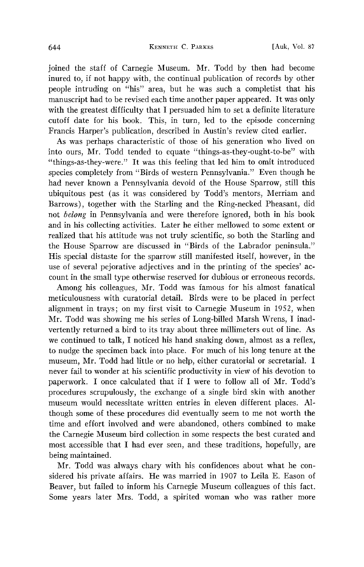**joined the staff of Carnegie Museum. Mr. Todd by then had become inured to, if not happy with, the continual publication of records by other people intruding on "his" area, but he was such a completist that his manuscript had to be revised each time another paper appeared. It was only with the greatest difficulty that I persuaded him to set a definite literature cutoff date for his book. This, in turn, led to the episode concerning Francis Harper's publication, described in Austin's review cited earlier.** 

**As was perhaps characteristic of those of his generation who lived on into ours, Mr. Todd tended to equate "things-as-they-ought-to-be" with "things-as-they-were." It was this feeling that led him to omit introduced species completely from "Birds of western Pennsylvania." Even though he had never known a Pennsylvania devoid of the House Sparrow, still this ubiquitous pest (as it was considered by Todd's mentors, Merriam and Barrows), together with the Starling and the Ring-necked Pheasant, did not belong in Pennsylvania and were therefore ignored, both in his book and in his collecting activities. Later he either mellowed to some extent or realized that his attitude was not truly scientific, so both the Starling and the House Sparrow are discussed in "Birds of the Labrador peninsula." His special distaste for the sparrow still manifested itself, however, in the use of several pejorative adjectives and in the printing of the species' account in the small type otherwise reserved for dubious or erroneous records.** 

**Among his colleagues, Mr. Todd was famous for his almost fanatical meticulousness with curatorial detail. Birds were to be placed in perfect alignment in trays; on my first visit to Carnegie Museum in 1952, when Mr. Todd was showing me his series of Long-billed Marsh Wrens, I inadvertently returned a bird to its tray about three millimeters out of line. As we continued to talk, I noticed his hand snaking down, almost as a reflex, to nudge the specimen back into place. For much of his long tenure at the museum, Mr. Todd had little or no help, either curatorial or secretarial. I never fail to wonder at his scientific productivity in view of his devotion to paperwork. I once calculated that if I were to follow all of Mr. Todd's**  procedures scrupulously, the exchange of a single bird skin with another **museum would necessitate written entries in eleven different places. Although some of these procedures did eventually seem to me not worth the time and effort involved and were abandoned, others combined to make the Carnegie Museum bird collection in some respects the best curated and most accessible that I had ever seen, and these traditions, hopefully, are being maintained.** 

**Mr. Todd was always chary with his confidences about what he considered his private affairs. He was married in 1907 to Leila E. Eason of Beaver, but failed to inform his Carnegie Museum colleagues of this fact. Some years later Mrs. Todd, a spirited woman who was rather more**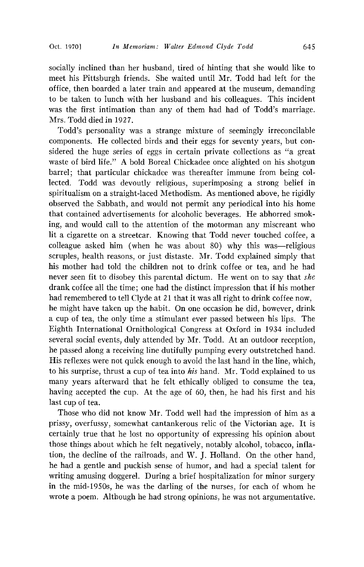**socially inclined than her husband, tired of hinting that she would like to meet his Pittsburgh friends. She waited until Mr. Todd had left for the office, then boarded a later train and appeared at the museum, demanding to be taken to lunch with her husband and his colleagues. This incident was the first intimation than any of them had had of Todd's marriage. Mrs. Todd died in 1927.** 

**Todd's personality was a strange mixture of seemingly irreconcilable components. He collected birds and their eggs for seventy years, but considered the huge series of eggs in certain private collections as "a great waste of bird life." A bold Boreal Chickadee once alighted on his shotgun barrel; that particular chickadee was thereafter immune from being collected. Todd was devoutly religious, superimposing a strong belief in spiritualism on a straight-laced Methodism. As mentioned above, he rigidly observed the Sabbath, and would not permit any periodical into his home that contained advertisements for alcoholic beverages. He abhorred smoking, and would call to the attention of the motorman any miscreant who lit a cigarette on a streetcar. Knowing that Todd never touched coffee, a colleague asked him (when he was about 80) why this was--religious scruples, health reasons, or just distaste. Mr. Todd explained simply that his mother had told the children not to drink coffee or tea, and he had never seen fit to disobey this parental dictum. He went on to say that she drank coffee all the time; one had the distinct impression that if his mother had remembered to tell Clyde at 21 that it was all right to drink coffee now, he might have taken up the habit. On one occasion he did, however, drink a cup of tea, the only time a stimulant ever passed between his lips. The Eighth International Ornithological Congress at Oxford in 1934 included several social events, duly attended by Mr. Todd. At an outdoor reception, he passed along a receiving line dutifully pumping every outstretched hand. His reflexes were not quick enough to avoid the last hand in the line, which, to his surprise, thrust a cup of tea into his hand. Mr. Todd explained to us many years afterward that he felt ethically obliged to consume the tea, having accepted the cup. At the age of 60, then, he had his first and his last cup of tea.** 

**Those who did not know Mr. Todd well had the impression of him as a prissy, overfussy, somewhat cantankerous relic of the Victorian age. It is certainly true that he lost no opportunity of expressing his opinion about those things about which he felt negatively, notably alcohol, tobacco, inflation, the decline of the railroads, and W. J. Holland. On the other hand, he had a gentle and puckish sense of humor, and had a special talent for writing amusing doggerel. During a brief hospitalization for minor surgery in the mid-1950s, he was the darling of the nurses, for each of whom he wrote a poem. Although he had strong opinions, he was not argumentative.**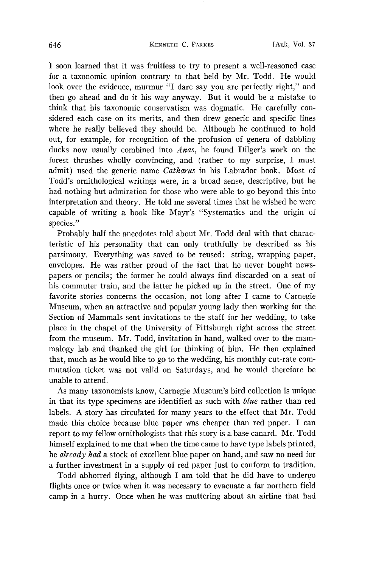**I soon learned that it was fruitless to try to present a well-reasoned case for a taxonomic opinion contrary to that held by Mr. Todd. He would look over the evidence, murmur "I dare say you are perfectly right," and then go ahead and do it his way anyway. But it would be a mistake to think that his taxonomic conservatism was dogmatic. He carefully considered each case on its merits, and then drew generic and specific lines where he really believed they should be. Although he continued to hold out, for example, for recognition of the profusion of genera of dabbling ducks now usually combined into Anas, he found Dilger's work on the forest thrushes wholly convincing, and (rather to my surprise, I must admit) used the generic name Catharus in his Labrador book. Most of Todd's ornithological writings were, in a broad sense, descriptive, but he had nothing but admiration for those who were able to go beyond this into interpretation and theory. He told me several times that he wished he were capable of writing a book like Mayr's "Systematics and the origin of species."** 

**Probably half the anecdotes told about Mr. Todd deal with that characteristic of his personality that can only truthfully be described as his parsimony. Everything was saved to be reused: string, wrapping paper, envelopes. He was rather proud of the fact that he never bought newspapers or pencils; the former he could always find discarded on a seat of**  his commuter train, and the latter he picked up in the street. One of my **favorite stories concerns the occasion, not long after I came to Carnegie Museum, when an attractive and popular young lady then working for the Section of Mammals sent invitations to the staff for her wedding, to take place in the chapel of the University of Pittsburgh right across the street from the museum. Mr. Todd, invitation in hand, walked over to the mam**malogy lab and thanked the girl for thinking of him. He then explained **that, much as he would like to go to the wedding, his monthly cut-rate commutation ticket was not valid on Saturdays, and he would therefore be unable to attend.** 

**As many taxonomists know, Carnegie Museum's bird collection is unique in that its type specimens are identified as such with blue rather than red labels. A story has circulated for many years to the effect that Mr. Todd made this choice because blue paper was cheaper than red paper. I can**  report to my fellow ornithologists that this story is a base canard. Mr. Todd **himself explained to me that when the time came to have type labels printed, he already had a stock of excellent blue paper on hand, and saw no need for a further investment in a supply of red paper just to conform to tradition.** 

**Todd abhorred flying, although I am told that he did have to. undergo flights once or twice when it was necessary to evacuate a far northern field camp in a hurry. Once when he was muttering about an airline that had**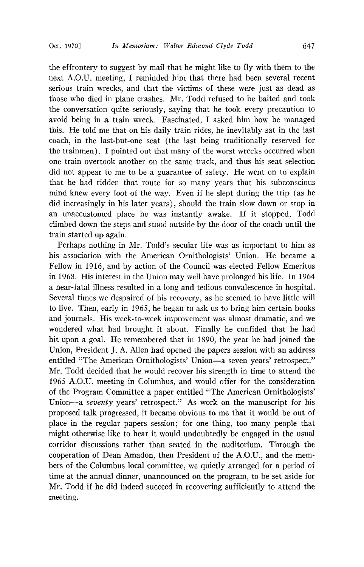**the effrontery to suggest by mail that he might like to fly with them to the next A.O.U. meeting, I reminded him that there had been several recent serious train wrecks, and that the victims of these were just as dead as those who died in plane crashes. Mr. Todd refused to be baited and took the conversation quite seriously, saying that he took every precaution to avoid being in a train wreck. Fascinated, I asked him how he managed this. He told me that on his daily train rides, he inevitably sat in the last coach, in the last-but-one seat (the last being traditionally reserved for the trainmen). I pointed out that many of the worst wrecks occurred when one train overtook another on the same track, and thus his seat selection did not appear to me to be a guarantee of safety. He went on to explain that he had ridden that route for so many years that his subconscious mind knew every foot of the way. Even if he slept during the trip (as he did increasingly in his later years), should the train slow down or stop in an unaccustomed place he was instantly awake. If it stopped, Todd climbed down the steps and stood outside by the door of the coach until the train started up again.** 

**Perhaps nothing in Mr. Todd's secular life was as important to him as his association with the American Ornithologists' Union. He became a Fellow in 1916, and by action of the Council was elected Fellow Emeritus in 1968. His interest in the Union may well have prolonged his life. In 1964 a near-fatal illness resulted in a long and tedious convalescence inhospital. Several times we despaired of his recovery, as he seemed to have little will to live. Then, early in 1965, he began to ask us to bring him certain books and journals. His week-to-week improvement was almost dramatic, and we wondered what had brought it about. Finally he confided that he had hit upon a goal. He remembered that in 1890, the year he had joined the Union, President J. A. Allen had opened the papers session with an address entitled "The American Ornithologists' Union--a seven years' retrospect." Mr. Todd decided that he would recover his strength in time to attend the 1965 A.O.U. meeting in Columbus, and would offer for the consideration of the Program Committee a paper entitled "The American Ornithologists' Union--a seventy years' retrospect." As work on the manuscript for his proposed talk progressed, itbecame obvious to me that it would be out of place in the regular papers session; for one thing, too many people that might otherwise like to hear it would undoubtedly be engaged in the usual corridor discussions rather than seated in the auditorium. Through the cooperation of Dean Amadon, then President of the A.O.U., and the members of the Columbus local committee, we quietly arranged for a period of time at the annual dinner, unannounced on the program, to be set aside for Mr. Todd if he did indeed succeed in recovering sufficiently to attend the meeting.**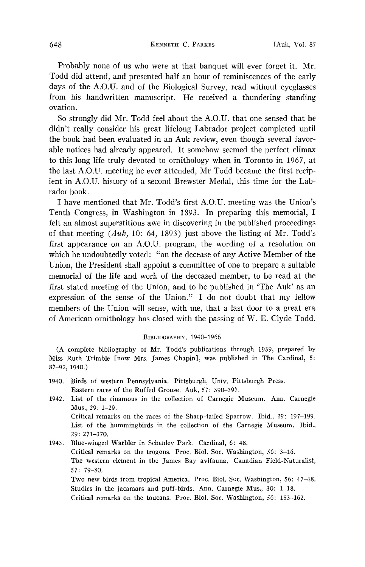**Probably none of us who were at that banquet will ever forget it. Mr.**  Todd did attend, and presented half an hour of reminiscences of the early **days of the A.O.U. and of the Biological Survey, read without eyeglasses from his handwritten manuscript. He received a thundering standing ovation.** 

**So strongly did Mr. Todd feel about the A.O.U. that one sensed that he didn't really consider his great lifelong Labrador project completed until the book had been evaluated in an Auk review, even though several favorable notices had already appeared. It somehow seemed the perfect climax to this long life truly devoted to ornithology when in Toronto in 1967, at the last A.O.U. meeting he ever attended, Mr Todd became the first recipient in A.O.U. history of a second Brewster Medal, this time for the Labrador book.** 

**I have mentioned that Mr. Todd's first A.O.U. meeting was the Union's Tenth Congress, in Washington in 1893. In preparing this memorial, I felt an almost superstitious awe in discovering in the published proceedings of that meeting (Auk, 10: 64, 1893) just above the listing of Mr. Todd's first appearance on an A.O.U. program, the wording of a resolution on which he undoubtedly voted: "on the decease of any Active Member of the Union, the President shall appoint a committee of one to prepare a suitable memorial of the life and work of the deceased member, to be read at the first stated meeting of the Union, and to be published in 'The Auk' as an expression of the sense of the Union." I do not doubt that my fellow members of the Union will sense, with me, that a last door to a great era of American ornithology has closed with the passing of W. E. Clyde Todd.** 

## **BIBLIOGRAPHY, 1940-1966**

**(A complete bibliography of Mr. Todd's publications through 1939, prepared by Miss Ruth Trimble [now Mrs. James Chapin], was published in The Cardinal, 5: 87-92, 1940.)** 

- **1940. Birds of western Pennsylvania. Pittsburgh, Univ. Pittsburgh Press. Eastern races of the Ruffed Grouse. Auk, 57: 390-397.**
- **1942. List of the tinamous in the collection of Carnegie Museum. Ann. Carnegie Mus., 29: 1-29. Critical remarks on the races of the Sharp-tailed Sparrow. Ibid., 29: 197-199. List of the hummingbirds in the collection of the Carnegie Museum. Ibid., 29: 271-370.**
- **1943. Blue-winged Warbler in Schenley Park. Cardinal, 6: 48. Critical remarks on the trogons. Proc. Biol. Soc. Washington, 56: 3-16. The western element in the James Bay avifauna. Canadian Field-Naturalist, 57: 79-80. Two new birds from tropical America. Proc. Biol. Soc. Washington, 56: 47-48. Studies in the jacamars and puff-birds. Ann. Carnegie Mus., 30: 1-18. Critical remarks on the toucans. Proc. Biol. Soc. Washington, 56: 153-162.**